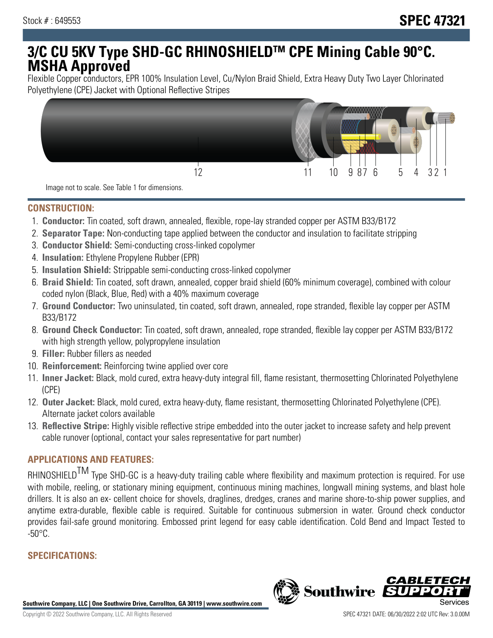# **3/C CU 5KV Type SHD-GC RHINOSHIELDTM CPE Mining Cable 90°C. MSHA Approved**

Flexible Copper conductors, EPR 100% Insulation Level, Cu/Nylon Braid Shield, Extra Heavy Duty Two Layer Chlorinated Polyethylene (CPE) Jacket with Optional Reflective Stripes



Image not to scale. See Table 1 for dimensions.

#### **CONSTRUCTION:**

- 1. **Conductor:** Tin coated, soft drawn, annealed, flexible, rope-lay stranded copper per ASTM B33/B172
- 2. **Separator Tape:** Non-conducting tape applied between the conductor and insulation to facilitate stripping
- 3. **Conductor Shield:** Semi-conducting cross-linked copolymer
- 4. **Insulation:** Ethylene Propylene Rubber (EPR)
- 5. **Insulation Shield:** Strippable semi-conducting cross-linked copolymer
- 6. **Braid Shield:** Tin coated, soft drawn, annealed, copper braid shield (60% minimum coverage), combined with colour coded nylon (Black, Blue, Red) with a 40% maximum coverage
- 7. **Ground Conductor:** Two uninsulated, tin coated, soft drawn, annealed, rope stranded, flexible lay copper per ASTM B33/B172
- 8. **Ground Check Conductor:** Tin coated, soft drawn, annealed, rope stranded, flexible lay copper per ASTM B33/B172 with high strength yellow, polypropylene insulation
- 9. **Filler:** Rubber fillers as needed
- 10. **Reinforcement:** Reinforcing twine applied over core
- 11. **Inner Jacket:** Black, mold cured, extra heavy-duty integral fill, flame resistant, thermosetting Chlorinated Polyethylene (CPE)
- 12. **Outer Jacket:** Black, mold cured, extra heavy-duty, flame resistant, thermosetting Chlorinated Polyethylene (CPE). Alternate jacket colors available
- 13. **Reflective Stripe:** Highly visible reflective stripe embedded into the outer jacket to increase safety and help prevent cable runover (optional, contact your sales representative for part number)

## **APPLICATIONS AND FEATURES:**

RHINOSHIELD<sup>TM</sup> Type SHD-GC is a heavy-duty trailing cable where flexibility and maximum protection is required. For use with mobile, reeling, or stationary mining equipment, continuous mining machines, longwall mining systems, and blast hole drillers. It is also an ex- cellent choice for shovels, draglines, dredges, cranes and marine shore-to-ship power supplies, and anytime extra-durable, flexible cable is required. Suitable for continuous submersion in water. Ground check conductor provides fail-safe ground monitoring. Embossed print legend for easy cable identification. Cold Bend and Impact Tested to  $-50^{\circ}$ C.

# **SPECIFICATIONS:**

**Southwire Company, LLC | One Southwire Drive, Carrollton, GA 30119 | www.southwire.com**

**Southwire** 

CABL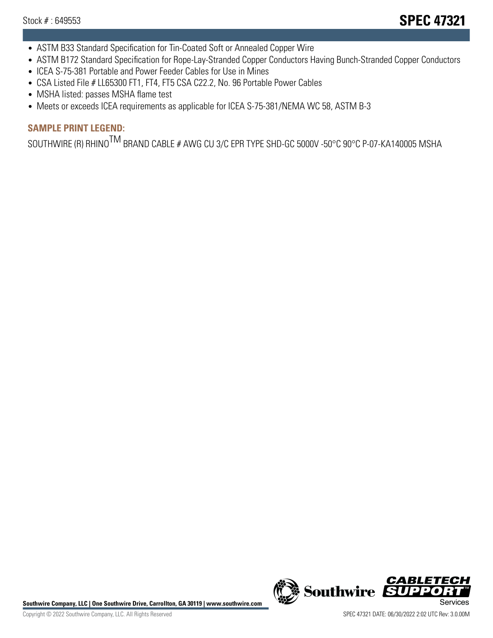- ASTM B33 Standard Specification for Tin-Coated Soft or Annealed Copper Wire
- ASTM B172 Standard Specification for Rope-Lay-Stranded Copper Conductors Having Bunch-Stranded Copper Conductors
- ICEA S-75-381 Portable and Power Feeder Cables for Use in Mines
- CSA Listed File # LL65300 FT1, FT4, FT5 CSA C22.2, No. 96 Portable Power Cables
- MSHA listed: passes MSHA flame test
- Meets or exceeds ICEA requirements as applicable for ICEA S-75-381/NEMA WC 58, ASTM B-3

# **SAMPLE PRINT LEGEND:**

SOUTHWIRE (R) RHINO<sup>TM</sup> BRAND CABLE # AWG CU 3/C EPR TYPE SHD-GC 5000V -50°C 90°C P-07-KA140005 MSHA

Southwire Company, LLC | One Southwire Drive, Carrollton, GA 30119 | www.southwire.com **Second Company, COVID Services** 



CABLE